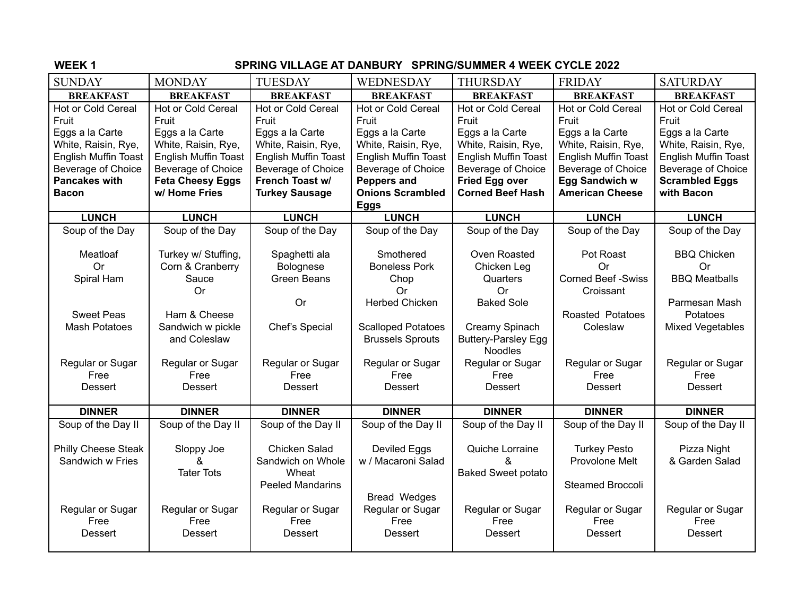## **WEEK 1 SPRING VILLAGE AT DANBURY SPRING/SUMMER 4 WEEK CYCLE 2022**

| <b>SUNDAY</b>               | <b>MONDAY</b>               | <b>TUESDAY</b>                  | WEDNESDAY                   | <b>THURSDAY</b>             | <b>FRIDAY</b>                   | <b>SATURDAY</b>                   |
|-----------------------------|-----------------------------|---------------------------------|-----------------------------|-----------------------------|---------------------------------|-----------------------------------|
| <b>BREAKFAST</b>            | <b>BREAKFAST</b>            | <b>BREAKFAST</b>                | <b>BREAKFAST</b>            | <b>BREAKFAST</b>            | <b>BREAKFAST</b>                | <b>BREAKFAST</b>                  |
| Hot or Cold Cereal          | Hot or Cold Cereal          | Hot or Cold Cereal              | <b>Hot or Cold Cereal</b>   | Hot or Cold Cereal          | <b>Hot or Cold Cereal</b>       | Hot or Cold Cereal                |
| Fruit                       | Fruit                       | Fruit                           | Fruit                       | Fruit                       | Fruit                           | Fruit                             |
| Eggs a la Carte             | Eggs a la Carte             | Eggs a la Carte                 | Eggs a la Carte             | Eggs a la Carte             | Eggs a la Carte                 | Eggs a la Carte                   |
| White, Raisin, Rye,         | White, Raisin, Rye,         | White, Raisin, Rye,             | White, Raisin, Rye,         | White, Raisin, Rye,         | White, Raisin, Rye,             | White, Raisin, Rye,               |
| <b>English Muffin Toast</b> | <b>English Muffin Toast</b> | English Muffin Toast            | <b>English Muffin Toast</b> | <b>English Muffin Toast</b> | <b>English Muffin Toast</b>     | English Muffin Toast              |
| Beverage of Choice          | <b>Beverage of Choice</b>   | Beverage of Choice              | Beverage of Choice          | Beverage of Choice          | Beverage of Choice              | Beverage of Choice                |
| <b>Pancakes with</b>        | <b>Feta Cheesy Eggs</b>     | French Toast w/                 | Peppers and                 | <b>Fried Egg over</b>       | <b>Egg Sandwich w</b>           | <b>Scrambled Eggs</b>             |
| <b>Bacon</b>                | w/ Home Fries               | <b>Turkey Sausage</b>           | <b>Onions Scrambled</b>     | <b>Corned Beef Hash</b>     | <b>American Cheese</b>          | with Bacon                        |
|                             |                             |                                 | <b>Eggs</b>                 |                             |                                 |                                   |
| <b>LUNCH</b>                | <b>LUNCH</b>                | <b>LUNCH</b>                    | <b>LUNCH</b>                | <b>LUNCH</b>                | <b>LUNCH</b>                    | <b>LUNCH</b>                      |
| Soup of the Day             | Soup of the Day             | Soup of the Day                 | Soup of the Day             | Soup of the Day             | Soup of the Day                 | Soup of the Day                   |
|                             |                             |                                 |                             |                             |                                 |                                   |
| Meatloaf                    | Turkey w/ Stuffing,         | Spaghetti ala                   | Smothered                   | Oven Roasted                | Pot Roast                       | <b>BBQ Chicken</b>                |
| <b>Or</b>                   | Corn & Cranberry<br>Sauce   | Bolognese<br><b>Green Beans</b> | <b>Boneless Pork</b>        | Chicken Leg<br>Quarters     | Or<br><b>Corned Beef -Swiss</b> | <b>Or</b><br><b>BBQ Meatballs</b> |
| Spiral Ham                  | Or                          |                                 | Chop<br><b>Or</b>           | Or                          | Croissant                       |                                   |
|                             |                             | Or                              | <b>Herbed Chicken</b>       | <b>Baked Sole</b>           |                                 | Parmesan Mash                     |
| <b>Sweet Peas</b>           | Ham & Cheese                |                                 |                             |                             | Roasted Potatoes                | Potatoes                          |
| <b>Mash Potatoes</b>        | Sandwich w pickle           | Chef's Special                  | <b>Scalloped Potatoes</b>   | Creamy Spinach              | Coleslaw                        | <b>Mixed Vegetables</b>           |
|                             | and Coleslaw                |                                 | <b>Brussels Sprouts</b>     | <b>Buttery-Parsley Egg</b>  |                                 |                                   |
|                             |                             |                                 |                             | <b>Noodles</b>              |                                 |                                   |
| Regular or Sugar            | Regular or Sugar            | Regular or Sugar                | Regular or Sugar            | Regular or Sugar            | Regular or Sugar                | Regular or Sugar                  |
| Free                        | Free                        | Free                            | Free                        | Free                        | Free                            | Free                              |
| <b>Dessert</b>              | <b>Dessert</b>              | <b>Dessert</b>                  | Dessert                     | <b>Dessert</b>              | Dessert                         | Dessert                           |
|                             |                             |                                 |                             |                             |                                 |                                   |
| <b>DINNER</b>               | <b>DINNER</b>               | <b>DINNER</b>                   | <b>DINNER</b>               | <b>DINNER</b>               | <b>DINNER</b>                   | <b>DINNER</b>                     |
| Soup of the Day II          | Soup of the Day II          | Soup of the Day II              | Soup of the Day II          | Soup of the Day II          | Soup of the Day II              | Soup of the Day II                |
| Philly Cheese Steak         | Sloppy Joe                  | Chicken Salad                   | Deviled Eggs                | Quiche Lorraine             | <b>Turkey Pesto</b>             | Pizza Night                       |
| Sandwich w Fries            | &                           | Sandwich on Whole               | w / Macaroni Salad          | ጼ                           | Provolone Melt                  | & Garden Salad                    |
|                             | <b>Tater Tots</b>           | Wheat                           |                             | <b>Baked Sweet potato</b>   |                                 |                                   |
|                             |                             | <b>Peeled Mandarins</b>         |                             |                             | <b>Steamed Broccoli</b>         |                                   |
|                             |                             |                                 | <b>Bread Wedges</b>         |                             |                                 |                                   |
| Regular or Sugar            | Regular or Sugar            | Regular or Sugar                | Regular or Sugar            | Regular or Sugar            | Regular or Sugar                | Regular or Sugar                  |
| Free                        | Free                        | Free                            | Free                        | Free                        | Free                            | Free                              |
| <b>Dessert</b>              | <b>Dessert</b>              | <b>Dessert</b>                  | Dessert                     | <b>Dessert</b>              | <b>Dessert</b>                  | <b>Dessert</b>                    |
|                             |                             |                                 |                             |                             |                                 |                                   |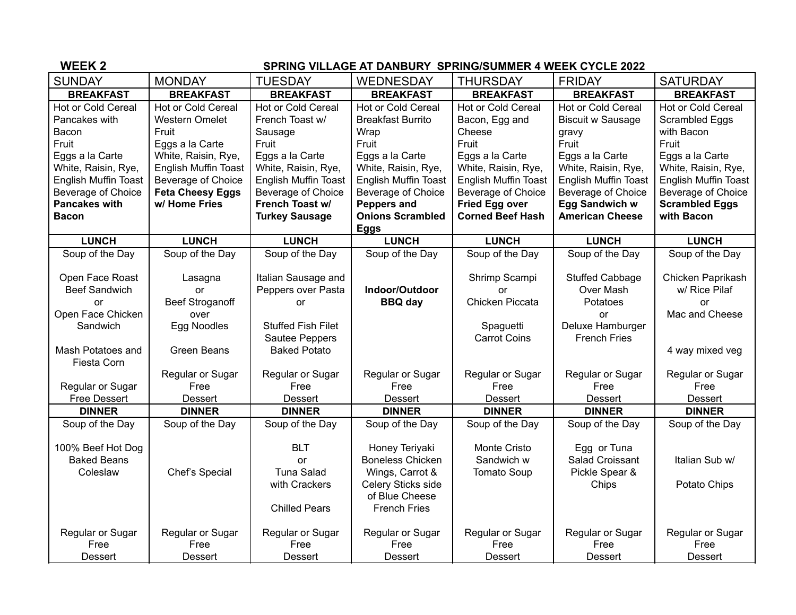| <b>WEEK2</b>                | <b>SPRING VILLAGE AT DANBURY SPRING/SUMMER 4 WEEK CYCLE 2022</b> |                             |                             |                             |                             |                       |
|-----------------------------|------------------------------------------------------------------|-----------------------------|-----------------------------|-----------------------------|-----------------------------|-----------------------|
| <b>SUNDAY</b>               | <b>MONDAY</b>                                                    | <b>TUESDAY</b>              | <b>WEDNESDAY</b>            | <b>THURSDAY</b>             | <b>FRIDAY</b>               | <b>SATURDAY</b>       |
| <b>BREAKFAST</b>            | <b>BREAKFAST</b>                                                 | <b>BREAKFAST</b>            | <b>BREAKFAST</b>            | <b>BREAKFAST</b>            | <b>BREAKFAST</b>            | <b>BREAKFAST</b>      |
| Hot or Cold Cereal          | Hot or Cold Cereal                                               | Hot or Cold Cereal          | Hot or Cold Cereal          | Hot or Cold Cereal          | Hot or Cold Cereal          | Hot or Cold Cereal    |
| Pancakes with               | <b>Western Omelet</b>                                            | French Toast w/             | <b>Breakfast Burrito</b>    | Bacon, Egg and              | <b>Biscuit w Sausage</b>    | Scrambled Eggs        |
| Bacon                       | Fruit                                                            | Sausage                     | Wrap                        | Cheese                      | gravy                       | with Bacon            |
| Fruit                       | Eggs a la Carte                                                  | Fruit                       | Fruit                       | Fruit                       | Fruit                       | Fruit                 |
| Eggs a la Carte             | White, Raisin, Rye,                                              | Eggs a la Carte             | Eggs a la Carte             | Eggs a la Carte             | Eggs a la Carte             | Eggs a la Carte       |
| White, Raisin, Rye,         | <b>English Muffin Toast</b>                                      | White, Raisin, Rye,         | White, Raisin, Rye,         | White, Raisin, Rye,         | White, Raisin, Rye,         | White, Raisin, Rye,   |
| <b>English Muffin Toast</b> | Beverage of Choice                                               | <b>English Muffin Toast</b> | <b>English Muffin Toast</b> | <b>English Muffin Toast</b> | <b>English Muffin Toast</b> | English Muffin Toast  |
| Beverage of Choice          | <b>Feta Cheesy Eggs</b>                                          | Beverage of Choice          | Beverage of Choice          | Beverage of Choice          | Beverage of Choice          | Beverage of Choice    |
| <b>Pancakes with</b>        | w/ Home Fries                                                    | French Toast w/             | Peppers and                 | <b>Fried Egg over</b>       | <b>Egg Sandwich w</b>       | <b>Scrambled Eggs</b> |
| <b>Bacon</b>                |                                                                  | <b>Turkey Sausage</b>       | <b>Onions Scrambled</b>     | <b>Corned Beef Hash</b>     | <b>American Cheese</b>      | with Bacon            |
|                             |                                                                  |                             | <b>Eggs</b>                 |                             |                             |                       |
| <b>LUNCH</b>                | <b>LUNCH</b>                                                     | <b>LUNCH</b>                | <b>LUNCH</b>                | <b>LUNCH</b>                | <b>LUNCH</b>                | <b>LUNCH</b>          |
| Soup of the Day             | Soup of the Day                                                  | Soup of the Day             | Soup of the Day             | Soup of the Day             | Soup of the Day             | Soup of the Day       |
|                             |                                                                  |                             |                             |                             |                             |                       |
| Open Face Roast             | Lasagna                                                          | Italian Sausage and         |                             | Shrimp Scampi               | <b>Stuffed Cabbage</b>      | Chicken Paprikash     |
| <b>Beef Sandwich</b>        | or                                                               | Peppers over Pasta          | Indoor/Outdoor              | or                          | Over Mash                   | w/ Rice Pilaf         |
| <b>or</b>                   | <b>Beef Stroganoff</b>                                           | <b>or</b>                   | <b>BBQ day</b>              | Chicken Piccata             | Potatoes                    | or                    |
| Open Face Chicken           | over                                                             |                             |                             |                             | <b>or</b>                   | Mac and Cheese        |
| Sandwich                    | Egg Noodles                                                      | <b>Stuffed Fish Filet</b>   |                             | Spaguetti                   | Deluxe Hamburger            |                       |
|                             |                                                                  | Sautee Peppers              |                             | <b>Carrot Coins</b>         | <b>French Fries</b>         |                       |
| Mash Potatoes and           | <b>Green Beans</b>                                               | <b>Baked Potato</b>         |                             |                             |                             | 4 way mixed veg       |
| Fiesta Corn                 |                                                                  |                             |                             |                             |                             |                       |
|                             | Regular or Sugar                                                 | Regular or Sugar            | Regular or Sugar            | Regular or Sugar            | Regular or Sugar            | Regular or Sugar      |
| Regular or Sugar            | Free                                                             | Free                        | Free                        | Free                        | Free                        | Free                  |
| <b>Free Dessert</b>         | Dessert                                                          | Dessert                     | Dessert                     | Dessert                     | Dessert                     | Dessert               |
| <b>DINNER</b>               | <b>DINNER</b>                                                    | <b>DINNER</b>               | <b>DINNER</b>               | <b>DINNER</b>               | <b>DINNER</b>               | <b>DINNER</b>         |
| Soup of the Day             | Soup of the Day                                                  | Soup of the Day             | Soup of the Day             | Soup of the Day             | Soup of the Day             | Soup of the Day       |
| 100% Beef Hot Dog           |                                                                  | <b>BLT</b>                  | Honey Teriyaki              | <b>Monte Cristo</b>         | Egg or Tuna                 |                       |
| <b>Baked Beans</b>          |                                                                  | or                          | <b>Boneless Chicken</b>     | Sandwich w                  | Salad Croissant             | Italian Sub w/        |
| Coleslaw                    | Chef's Special                                                   | <b>Tuna Salad</b>           | Wings, Carrot &             | <b>Tomato Soup</b>          | Pickle Spear &              |                       |
|                             |                                                                  | with Crackers               | Celery Sticks side          |                             | Chips                       | Potato Chips          |
|                             |                                                                  |                             | of Blue Cheese              |                             |                             |                       |
|                             |                                                                  | <b>Chilled Pears</b>        | <b>French Fries</b>         |                             |                             |                       |
|                             |                                                                  |                             |                             |                             |                             |                       |
| Regular or Sugar            | Regular or Sugar                                                 | Regular or Sugar            | Regular or Sugar            | Regular or Sugar            | Regular or Sugar            | Regular or Sugar      |
| Free                        | Free                                                             | Free                        | Free                        | Free                        | Free                        | Free                  |
| <b>Dessert</b>              | Dessert                                                          | Dessert                     | Dessert                     | <b>Dessert</b>              | Dessert                     | <b>Dessert</b>        |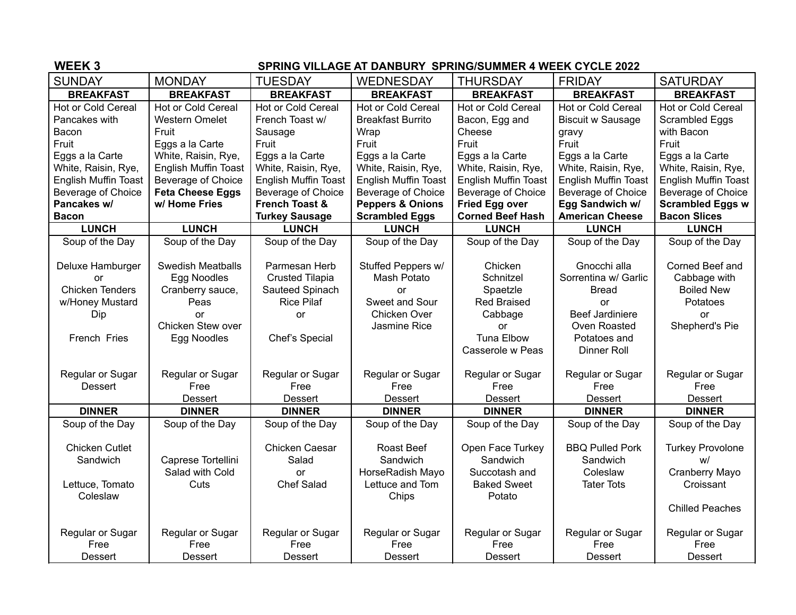## **WEEK 3 SPRING VILLAGE AT DANBURY SPRING/SUMMER 4 WEEK CYCLE 2022** SUNDAY | MONDAY | TUESDAY | WEDNESDAY | THURSDAY | FRIDAY | SATURDAY **BREAKFAST BREAKFAST BREAKFAST BREAKFAST BREAKFAST BREAKFAST BREAKFAST** Hot or Cold Cereal Pancakes with Bacon Fruit Eggs a la Carte White, Raisin, Rye, English Muffin Toast Beverage of Choice **Pancakes w/ Bacon** Hot or Cold Cereal Western Omelet Fruit Eggs a la Carte White, Raisin, Rye, English Muffin Toast Beverage of Choice **Feta Cheese Eggs w/ Home Fries** Hot or Cold Cereal French Toast w/ Sausage Fruit Eggs a la Carte White, Raisin, Rye, English Muffin Toast Beverage of Choice **French Toast & Turkey Sausage** Hot or Cold Cereal Breakfast Burrito Wrap Fruit Eggs a la Carte White, Raisin, Rye, English Muffin Toast Beverage of Choice Beverage of Choice **Peppers & Onions Scrambled Eggs** Hot or Cold Cereal Bacon, Egg and Cheese Fruit Eggs a la Carte White, Raisin, Rye, English Muffin Toast **Fried Egg over Corned Beef Hash** Hot or Cold Cereal Biscuit w Sausage gravy Fruit Eggs a la Carte White, Raisin, Rye, English Muffin Toast Beverage of Choice **Egg Sandwich w/ American Cheese** Hot or Cold Cereal Scrambled Eggs with Bacon Fruit Eggs a la Carte White, Raisin, Rye, English Muffin Toast Beverage of Choice **Scrambled Eggs w Bacon Slices LUNCH LUNCH LUNCH LUNCH LUNCH LUNCH LUNCH**

|                                                                                            | $. v.8 v.00000 = 990$                                                                                         | $\sim$ $\sim$ $\sim$ $\sim$ $\sim$ $\sim$ $\sim$                                                        | bovorago or onlorod                                                                              | bovorago or onoroo                                                                           | our orașe en oriene                                                                                                         |                                                                                          |
|--------------------------------------------------------------------------------------------|---------------------------------------------------------------------------------------------------------------|---------------------------------------------------------------------------------------------------------|--------------------------------------------------------------------------------------------------|----------------------------------------------------------------------------------------------|-----------------------------------------------------------------------------------------------------------------------------|------------------------------------------------------------------------------------------|
| Pancakes w/                                                                                | w/ Home Fries                                                                                                 | <b>French Toast &amp;</b>                                                                               | <b>Peppers &amp; Onions</b>                                                                      | <b>Fried Egg over</b>                                                                        | Egg Sandwich w/                                                                                                             | <b>Scrambled Eggs w</b>                                                                  |
| <b>Bacon</b>                                                                               |                                                                                                               | <b>Turkey Sausage</b>                                                                                   | <b>Scrambled Eggs</b>                                                                            | <b>Corned Beef Hash</b>                                                                      | <b>American Cheese</b>                                                                                                      | <b>Bacon Slices</b>                                                                      |
| <b>LUNCH</b>                                                                               | <b>LUNCH</b>                                                                                                  | <b>LUNCH</b>                                                                                            | <b>LUNCH</b>                                                                                     | <b>LUNCH</b>                                                                                 | <b>LUNCH</b>                                                                                                                | <b>LUNCH</b>                                                                             |
| Soup of the Day                                                                            | Soup of the Day                                                                                               | Soup of the Day                                                                                         | Soup of the Day                                                                                  | Soup of the Day                                                                              | Soup of the Day                                                                                                             | Soup of the Day                                                                          |
| Deluxe Hamburger<br>nr<br><b>Chicken Tenders</b><br>w/Honey Mustard<br>Dip<br>French Fries | <b>Swedish Meatballs</b><br>Egg Noodles<br>Cranberry sauce,<br>Peas<br>or<br>Chicken Stew over<br>Egg Noodles | Parmesan Herb<br><b>Crusted Tilapia</b><br>Sauteed Spinach<br><b>Rice Pilaf</b><br>or<br>Chef's Special | Stuffed Peppers w/<br>Mash Potato<br>or<br>Sweet and Sour<br><b>Chicken Over</b><br>Jasmine Rice | Chicken<br>Schnitzel<br>Spaetzle<br><b>Red Braised</b><br>Cabbage<br><b>or</b><br>Tuna Elbow | Gnocchi alla<br>Sorrentina w/ Garlic<br><b>Bread</b><br><b>or</b><br><b>Beef Jardiniere</b><br>Oven Roasted<br>Potatoes and | Corned Beef and<br>Cabbage with<br><b>Boiled New</b><br>Potatoes<br>or<br>Shepherd's Pie |
| Regular or Sugar<br>Dessert                                                                | Regular or Sugar<br>Free<br><b>Dessert</b>                                                                    | Regular or Sugar<br>Free<br>Dessert                                                                     | Regular or Sugar<br><b>Free</b><br><b>Dessert</b>                                                | Casserole w Peas<br>Regular or Sugar<br>Free<br><b>Dessert</b>                               | Dinner Roll<br>Regular or Sugar<br><b>Free</b><br><b>Dessert</b>                                                            | Regular or Sugar<br>Free<br>Dessert                                                      |
| <b>DINNER</b>                                                                              | <b>DINNER</b>                                                                                                 | <b>DINNER</b>                                                                                           | <b>DINNER</b>                                                                                    | <b>DINNER</b>                                                                                | <b>DINNER</b>                                                                                                               | <b>DINNER</b>                                                                            |
| Soup of the Day                                                                            | Soup of the Day                                                                                               | Soup of the Day                                                                                         | Soup of the Day                                                                                  | Soup of the Day                                                                              | Soup of the Day                                                                                                             | Soup of the Day                                                                          |
| <b>Chicken Cutlet</b><br>Sandwich                                                          | Caprese Tortellini<br>Salad with Cold                                                                         | Chicken Caesar<br>Salad<br><b>or</b>                                                                    | <b>Roast Beef</b><br>Sandwich<br>HorseRadish Mayo                                                | Open Face Turkey<br>Sandwich<br>Succotash and                                                | <b>BBQ Pulled Pork</b><br>Sandwich<br>Coleslaw                                                                              | <b>Turkey Provolone</b><br>w/<br>Cranberry Mayo                                          |
| Lettuce, Tomato<br>Coleslaw                                                                | Cuts                                                                                                          | <b>Chef Salad</b>                                                                                       | Lettuce and Tom<br>Chips                                                                         | <b>Baked Sweet</b><br>Potato                                                                 | <b>Tater Tots</b>                                                                                                           | Croissant<br><b>Chilled Peaches</b>                                                      |
| Regular or Sugar<br>Free<br><b>Dessert</b>                                                 | Regular or Sugar<br>Free<br>Dessert                                                                           | Regular or Sugar<br>Free<br><b>Dessert</b>                                                              | Regular or Sugar<br>Free<br>Dessert                                                              | Regular or Sugar<br>Free<br><b>Dessert</b>                                                   | Regular or Sugar<br>Free<br>Dessert                                                                                         | Regular or Sugar<br>Free<br>Dessert                                                      |